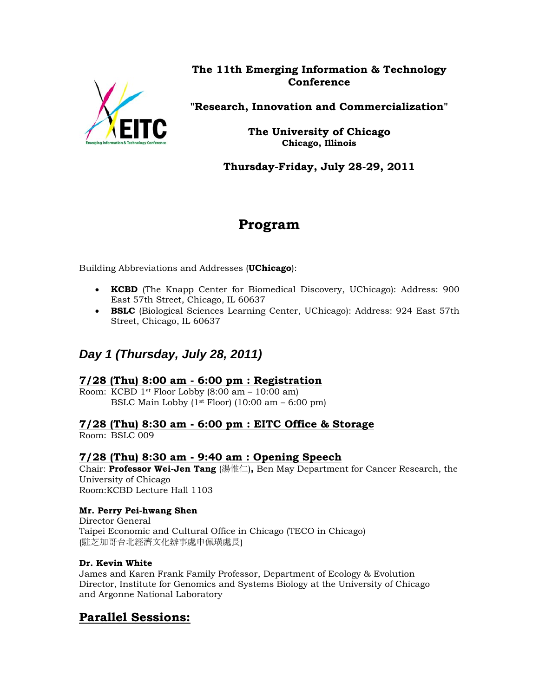

**The 11th Emerging Information & Technology Conference** 

**"Research, Innovation and Commercialization"**

**The University of Chicago Chicago, Illinois** 

**Thursday-Friday, July 28-29, 2011** 

# **Program**

Building Abbreviations and Addresses (**UChicago**):

- **KCBD** (The Knapp Center for Biomedical Discovery, UChicago): Address: 900 East 57th Street, Chicago, IL 60637
- **BSLC** (Biological Sciences Learning Center, UChicago): Address: 924 East 57th Street, Chicago, IL 60637

# *Day 1 (Thursday, July 28, 2011)*

### **7/28 (Thu) 8:00 am - 6:00 pm : Registration**

Room: KCBD 1st Floor Lobby  $(8:00 \text{ am} - 10:00 \text{ am})$ BSLC Main Lobby  $(1<sup>st</sup> Floor) (10:00 am - 6:00 pm)$ 

### **7/28 (Thu) 8:30 am - 6:00 pm : EITC Office & Storage**

Room: BSLC 009

### **7/28 (Thu) 8:30 am - 9:40 am : Opening Speech**

Chair: **Professor Wei-Jen Tang** (湯惟仁)**,** Ben May Department for Cancer Research, the University of Chicago Room:KCBD Lecture Hall 1103

#### **Mr. Perry Pei-hwang Shen**

Director General Taipei Economic and Cultural Office in Chicago (TECO in Chicago) (駐芝加哥台北經濟文化辦事處申佩璜處長)

#### **Dr. Kevin White**

James and Karen Frank Family Professor, Department of Ecology & Evolution Director, Institute for Genomics and Systems Biology at the University of Chicago and Argonne National Laboratory

# **Parallel Sessions:**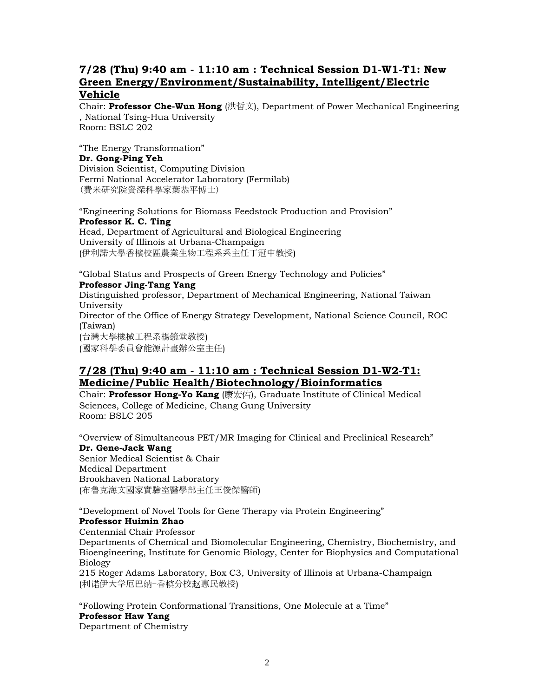#### **7/28 (Thu) 9:40 am - 11:10 am : Technical Session D1-W1-T1: New Green Energy/Environment/Sustainability, Intelligent/Electric Vehicle**

Chair: **Professor Che-Wun Hong** (洪哲文), Department of Power Mechanical Engineering , National Tsing-Hua University Room: BSLC 202

"The Energy Transformation" **Dr. Gong-Ping Yeh**  Division Scientist, Computing Division Fermi National Accelerator Laboratory (Fermilab) (費米研究院資深科學家葉恭平博士)

"Engineering Solutions for Biomass Feedstock Production and Provision" **Professor K. C. Ting** Head, Department of Agricultural and Biological Engineering University of Illinois at Urbana-Champaign (伊利諾大學香檳校區農業生物工程系系主任丁冠中教授)

"Global Status and Prospects of Green Energy Technology and Policies" **Professor Jing-Tang Yang**  Distinguished professor, Department of Mechanical Engineering, National Taiwan University Director of the Office of Energy Strategy Development, National Science Council, ROC (Taiwan) (台灣大學機械工程系楊鏡堂教授) (國家科學委員會能源計畫辦公室主任)

### **7/28 (Thu) 9:40 am - 11:10 am : Technical Session D1-W2-T1: Medicine/Public Health/Biotechnology/Bioinformatics**

Chair: **Professor Hong-Yo Kang** (康宏佑), Graduate Institute of Clinical Medical Sciences, College of Medicine, Chang Gung University Room: BSLC 205

"Overview of Simultaneous PET/MR Imaging for Clinical and Preclinical Research" **Dr. Gene-Jack Wang**  Senior Medical Scientist & Chair Medical Department Brookhaven National Laboratory (布魯克海文國家實驗室醫學部主任王俊傑醫師)

"Development of Novel Tools for Gene Therapy via Protein Engineering" **Professor Huimin Zhao**

Centennial Chair Professor

Departments of Chemical and Biomolecular Engineering, Chemistry, Biochemistry, and Bioengineering, Institute for Genomic Biology, Center for Biophysics and Computational Biology

215 Roger Adams Laboratory, Box C3, University of Illinois at Urbana-Champaign (利诺伊大学厄巴纳-香槟分校赵惠民教授)

"Following Protein Conformational Transitions, One Molecule at a Time" **Professor Haw Yang**  Department of Chemistry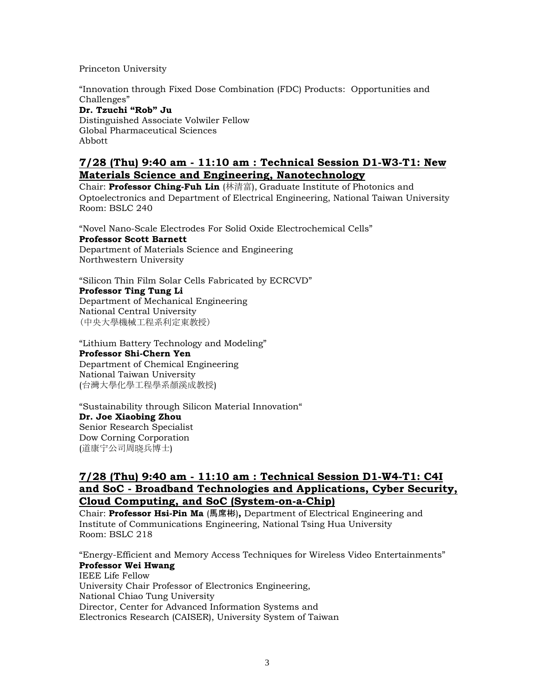Princeton University

"Innovation through Fixed Dose Combination (FDC) Products: Opportunities and Challenges" **Dr. Tzuchi "Rob" Ju**  Distinguished Associate Volwiler Fellow Global Pharmaceutical Sciences Abbott

#### **7/28 (Thu) 9:40 am - 11:10 am : Technical Session D1-W3-T1: New Materials Science and Engineering, Nanotechnology**

Chair: **Professor Ching-Fuh Lin** (林清富), Graduate Institute of Photonics and Optoelectronics and Department of Electrical Engineering, National Taiwan University Room: BSLC 240

"Novel Nano-Scale Electrodes For Solid Oxide Electrochemical Cells" **Professor Scott Barnett**  Department of Materials Science and Engineering Northwestern University

"Silicon Thin Film Solar Cells Fabricated by ECRCVD" **Professor Ting Tung Li**  Department of Mechanical Engineering National Central University (中央大學機械工程系利定東教授)

"Lithium Battery Technology and Modeling" **Professor Shi-Chern Yen**  Department of Chemical Engineering National Taiwan University (台灣大學化學工程學系顏溪成教授)

"Sustainability through Silicon Material Innovation" **Dr. Joe Xiaobing Zhou**  Senior Research Specialist Dow Corning Corporation (道康宁公司周晓兵博士)

#### **7/28 (Thu) 9:40 am - 11:10 am : Technical Session D1-W4-T1: C4I and SoC - Broadband Technologies and Applications, Cyber Security, Cloud Computing, and SoC (System-on-a-Chip)**

Chair: **Professor Hsi-Pin Ma** (馬席彬)**,** Department of Electrical Engineering and Institute of Communications Engineering, National Tsing Hua University Room: BSLC 218

"Energy-Efficient and Memory Access Techniques for Wireless Video Entertainments" **Professor Wei Hwang**  IEEE Life Fellow University Chair Professor of Electronics Engineering, National Chiao Tung University Director, Center for Advanced Information Systems and Electronics Research (CAISER), University System of Taiwan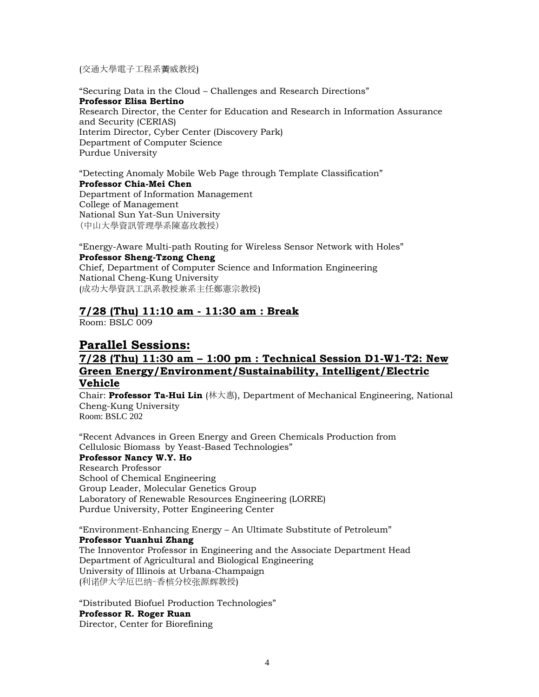(交通大學電子工程系黃威教授)

"Securing Data in the Cloud – Challenges and Research Directions" **Professor Elisa Bertino** Research Director, the Center for Education and Research in Information Assurance and Security (CERIAS) Interim Director, Cyber Center (Discovery Park) Department of Computer Science Purdue University

"Detecting Anomaly Mobile Web Page through Template Classification" **Professor Chia-Mei Chen**  Department of Information Management College of Management National Sun Yat-Sun University (中山大學資訊管理學系陳嘉玫教授)

"Energy-Aware Multi-path Routing for Wireless Sensor Network with Holes" **Professor Sheng-Tzong Cheng**  Chief, Department of Computer Science and Information Engineering National Cheng-Kung University (成功大學資訊工訊系教授兼系主任鄭憲宗教授)

# **7/28 (Thu) 11:10 am - 11:30 am : Break**

Room: BSLC 009

# **Parallel Sessions:**

#### **7/28 (Thu) 11:30 am – 1:00 pm : Technical Session D1-W1-T2: New Green Energy/Environment/Sustainability, Intelligent/Electric Vehicle**

Chair: **Professor Ta-Hui Lin** (林大惠), Department of Mechanical Engineering, National Cheng-Kung University Room: BSLC 202

"Recent Advances in Green Energy and Green Chemicals Production from Cellulosic Biomass by Yeast-Based Technologies" **Professor Nancy W.Y. Ho**  Research Professor School of Chemical Engineering Group Leader, Molecular Genetics Group Laboratory of Renewable Resources Engineering (LORRE) Purdue University, Potter Engineering Center

"Environment-Enhancing Energy – An Ultimate Substitute of Petroleum" **Professor Yuanhui Zhang**  The Innoventor Professor in Engineering and the Associate Department Head Department of Agricultural and Biological Engineering University of Illinois at Urbana-Champaign (利诺伊大学厄巴纳-香槟分校张源辉教授)

"Distributed Biofuel Production Technologies" **Professor R. Roger Ruan**  Director, Center for Biorefining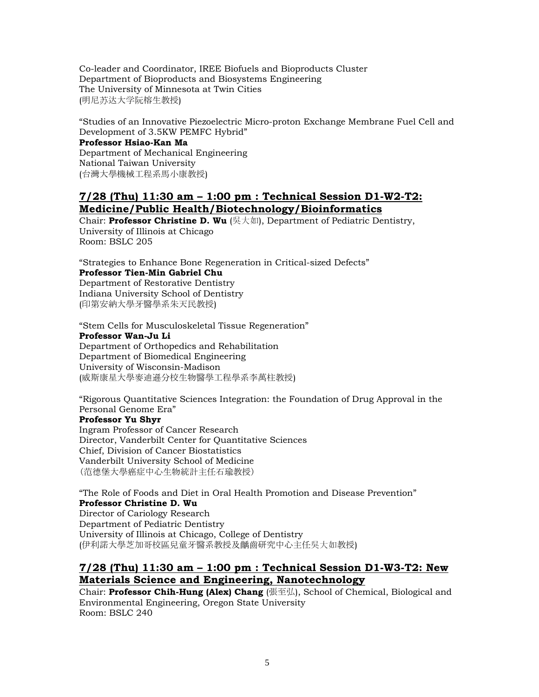Co-leader and Coordinator, IREE Biofuels and Bioproducts Cluster Department of Bioproducts and Biosystems Engineering The University of Minnesota at Twin Cities (明尼苏达大学阮榕生教授)

"Studies of an Innovative Piezoelectric Micro-proton Exchange Membrane Fuel Cell and Development of 3.5KW PEMFC Hybrid"

#### **Professor Hsiao-Kan Ma**

Department of Mechanical Engineering National Taiwan University (台灣大學機械工程系馬小康教授)

#### **7/28 (Thu) 11:30 am – 1:00 pm : Technical Session D1-W2-T2: Medicine/Public Health/Biotechnology/Bioinformatics**

Chair: **Professor Christine D. Wu** (吳大如), Department of Pediatric Dentistry, University of Illinois at Chicago Room: BSLC 205

"Strategies to Enhance Bone Regeneration in Critical-sized Defects"

#### **Professor Tien-Min Gabriel Chu**

Department of Restorative Dentistry Indiana University School of Dentistry (印第安納大學牙醫學系朱天民教授)

"Stem Cells for Musculoskeletal Tissue Regeneration" **Professor Wan-Ju Li**  Department of Orthopedics and Rehabilitation Department of Biomedical Engineering University of Wisconsin-Madison (威斯康星大學麥迪遜分校生物醫學工程學系李萬柱教授)

"Rigorous Quantitative Sciences Integration: the Foundation of Drug Approval in the Personal Genome Era"

#### **Professor Yu Shyr**

Ingram Professor of Cancer Research Director, Vanderbilt Center for Quantitative Sciences Chief, Division of Cancer Biostatistics Vanderbilt University School of Medicine (范德堡大學癌症中心生物統計主任石瑜教授)

"The Role of Foods and Diet in Oral Health Promotion and Disease Prevention" **Professor Christine D. Wu** Director of Cariology Research Department of Pediatric Dentistry University of Illinois at Chicago, College of Dentistry (伊利諾大學芝加哥校區兒童牙醫系教授及齲齒研究中心主任吳大如教授)

## **7/28 (Thu) 11:30 am – 1:00 pm : Technical Session D1-W3-T2: New Materials Science and Engineering, Nanotechnology**

Chair: **Professor Chih-Hung (Alex) Chang** (張至弘), School of Chemical, Biological and Environmental Engineering, Oregon State University Room: BSLC 240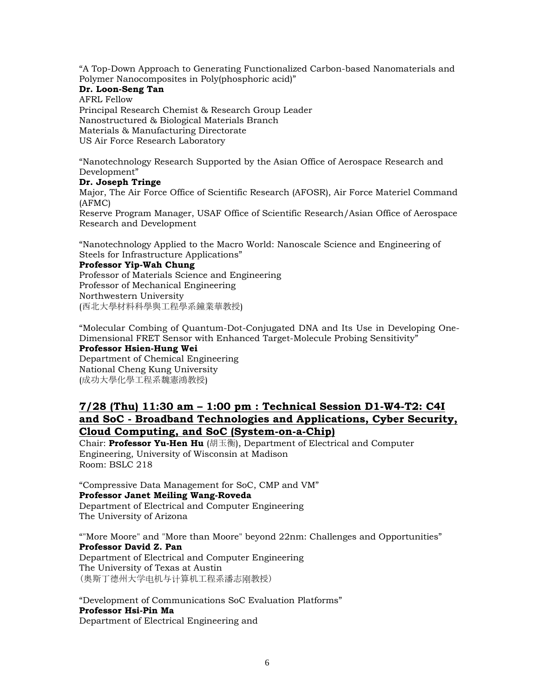"A Top-Down Approach to Generating Functionalized Carbon-based Nanomaterials and Polymer Nanocomposites in Poly(phosphoric acid)"

#### **Dr. Loon-Seng Tan**

AFRL Fellow Principal Research Chemist & Research Group Leader Nanostructured & Biological Materials Branch Materials & Manufacturing Directorate US Air Force Research Laboratory

"Nanotechnology Research Supported by the Asian Office of Aerospace Research and Development"

#### **Dr. Joseph Tringe**

Major, The Air Force Office of Scientific Research (AFOSR), Air Force Materiel Command (AFMC)

Reserve Program Manager, USAF Office of Scientific Research/Asian Office of Aerospace Research and Development

"Nanotechnology Applied to the Macro World: Nanoscale Science and Engineering of Steels for Infrastructure Applications"

#### **Professor Yip-Wah Chung**

Professor of Materials Science and Engineering Professor of Mechanical Engineering Northwestern University (西北大學材料科學與工程學系鐘業華教授)

"Molecular Combing of Quantum-Dot-Conjugated DNA and Its Use in Developing One-Dimensional FRET Sensor with Enhanced Target-Molecule Probing Sensitivity"

#### **Professor Hsien-Hung Wei**

Department of Chemical Engineering National Cheng Kung University (成功大學化學工程系魏憲鴻教授)

#### **7/28 (Thu) 11:30 am – 1:00 pm : Technical Session D1-W4-T2: C4I and SoC - Broadband Technologies and Applications, Cyber Security, Cloud Computing, and SoC (System-on-a-Chip)**

Chair: **Professor Yu-Hen Hu** (胡玉衡), Department of Electrical and Computer Engineering, University of Wisconsin at Madison Room: BSLC 218

"Compressive Data Management for SoC, CMP and VM" **Professor Janet Meiling Wang-Roveda**  Department of Electrical and Computer Engineering The University of Arizona

""More Moore" and "More than Moore" beyond 22nm: Challenges and Opportunities" **Professor David Z. Pan**  Department of Electrical and Computer Engineering The University of Texas at Austin (奥斯丁德州大学电机与计算机工程系潘志刚教授)

"Development of Communications SoC Evaluation Platforms" **Professor Hsi-Pin Ma** Department of Electrical Engineering and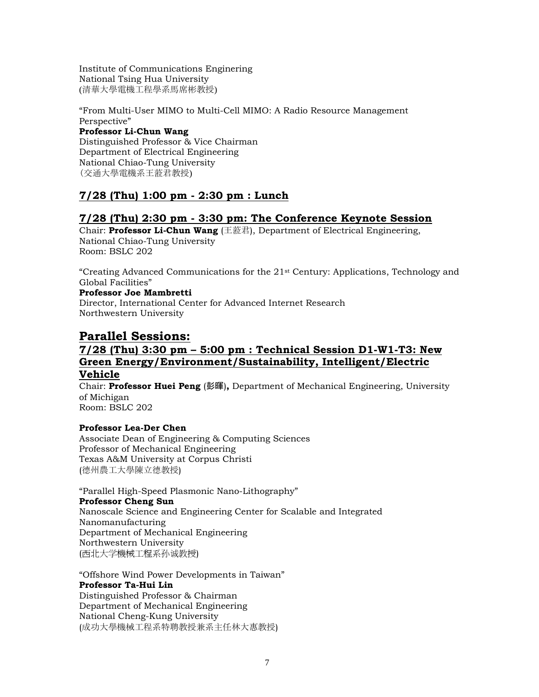Institute of Communications Enginering National Tsing Hua University (清華大學電機工程學系馬席彬教授)

"From Multi-User MIMO to Multi-Cell MIMO: A Radio Resource Management Perspective"

#### **Professor Li-Chun Wang**

Distinguished Professor & Vice Chairman Department of Electrical Engineering National Chiao-Tung University (交通大學電機系王蒞君教授)

## **7/28 (Thu) 1:00 pm - 2:30 pm : Lunch**

### **7/28 (Thu) 2:30 pm - 3:30 pm: The Conference Keynote Session**

Chair: **Professor Li-Chun Wang** (王蒞君), Department of Electrical Engineering, National Chiao-Tung University Room: BSLC 202

"Creating Advanced Communications for the 21st Century: Applications, Technology and Global Facilities"

#### **Professor Joe Mambretti**

Director, International Center for Advanced Internet Research Northwestern University

# **Parallel Sessions:**

#### **7/28 (Thu) 3:30 pm – 5:00 pm : Technical Session D1-W1-T3: New Green Energy/Environment/Sustainability, Intelligent/Electric Vehicle**

Chair: **Professor Huei Peng** (彭暉)**,** Department of Mechanical Engineering, University of Michigan Room: BSLC 202

#### **Professor Lea-Der Chen**

Associate Dean of Engineering & Computing Sciences Professor of Mechanical Engineering Texas A&M University at Corpus Christi (德州農工大學陳立德教授)

"Parallel High-Speed Plasmonic Nano-Lithography" **Professor Cheng Sun**  Nanoscale Science and Engineering Center for Scalable and Integrated Nanomanufacturing Department of Mechanical Engineering Northwestern University (西北大学機械工程系孙诚教授)

"Offshore Wind Power Developments in Taiwan" **Professor Ta-Hui Lin**  Distinguished Professor & Chairman Department of Mechanical Engineering

National Cheng-Kung University (成功大學機械工程系特聘教授兼系主任林大惠教授)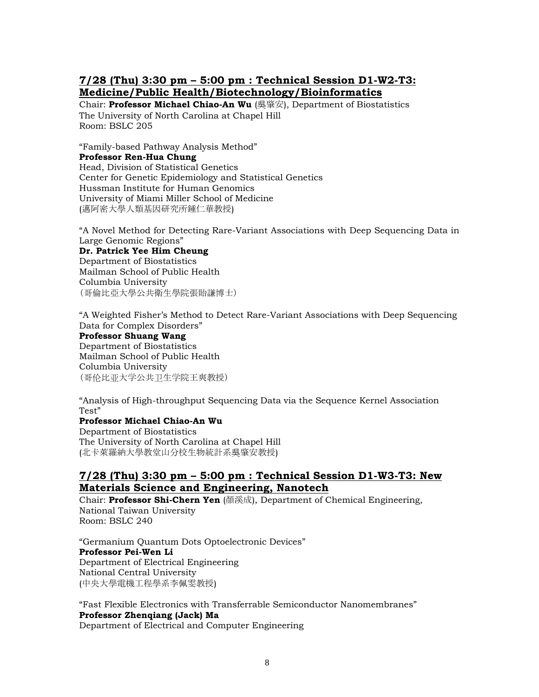### **7/28 (Thu) 3:30 pm – 5:00 pm : Technical Session D1-W2-T3: Medicine/Public Health/Biotechnology/Bioinformatics**

Chair: **Professor Michael Chiao-An Wu** (吳肇安), Department of Biostatistics The University of North Carolina at Chapel Hill Room: BSLC 205

"Family-based Pathway Analysis Method" **Professor Ren-Hua Chung**  Head, Division of Statistical Genetics Center for Genetic Epidemiology and Statistical Genetics Hussman Institute for Human Genomics University of Miami Miller School of Medicine (邁阿密大學人類基因研究所鍾仁華教授)

"A Novel Method for Detecting Rare-Variant Associations with Deep Sequencing Data in Large Genomic Regions"

#### **Dr. Patrick Yee Him Cheung**

Department of Biostatistics Mailman School of Public Health Columbia University (哥倫比亞大學公共衛生學院張貽謙博士)

"A Weighted Fisher's Method to Detect Rare-Variant Associations with Deep Sequencing Data for Complex Disorders" **Professor Shuang Wang**  Department of Biostatistics Mailman School of Public Health Columbia University (哥伦比亚大学公共卫生学院王爽教授)

"Analysis of High-throughput Sequencing Data via the Sequence Kernel Association Test"

#### **Professor Michael Chiao-An Wu**

Department of Biostatistics The University of North Carolina at Chapel Hill (北卡萊羅納大學教堂山分校生物統計系吳肇安教授)

#### **7/28 (Thu) 3:30 pm – 5:00 pm : Technical Session D1-W3-T3: New Materials Science and Engineering, Nanotech**

Chair: **Professor Shi-Chern Yen** (顏溪成), Department of Chemical Engineering, National Taiwan University Room: BSLC 240

"Germanium Quantum Dots Optoelectronic Devices" **Professor Pei-Wen Li**  Department of Electrical Engineering National Central University (中央大學電機工程學系李佩雯教授)

"Fast Flexible Electronics with Transferrable Semiconductor Nanomembranes" **Professor Zhenqiang (Jack) Ma**  Department of Electrical and Computer Engineering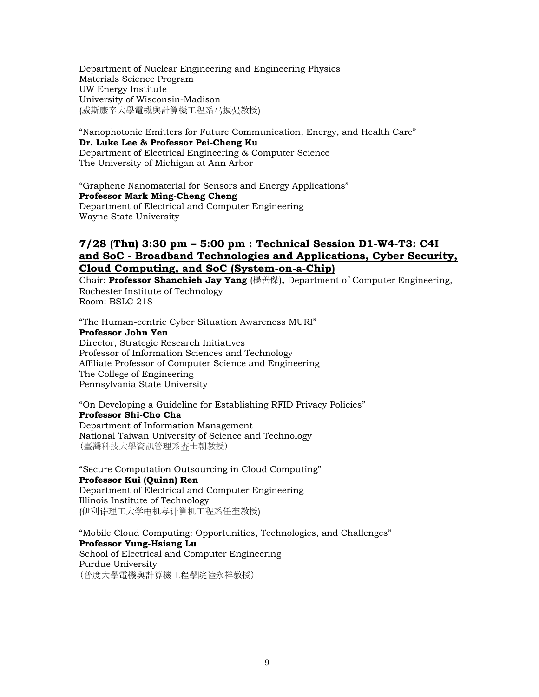Department of Nuclear Engineering and Engineering Physics Materials Science Program UW Energy Institute University of Wisconsin-Madison (威斯康辛大學電機與計算機工程系马振强教授)

"Nanophotonic Emitters for Future Communication, Energy, and Health Care" **Dr. Luke Lee & Professor Pei-Cheng Ku**  Department of Electrical Engineering & Computer Science The University of Michigan at Ann Arbor

"Graphene Nanomaterial for Sensors and Energy Applications" **Professor Mark Ming-Cheng Cheng**  Department of Electrical and Computer Engineering Wayne State University

#### **7/28 (Thu) 3:30 pm – 5:00 pm : Technical Session D1-W4-T3: C4I and SoC - Broadband Technologies and Applications, Cyber Security, Cloud Computing, and SoC (System-on-a-Chip)**

Chair: **Professor Shanchieh Jay Yang** (楊善傑)**,** Department of Computer Engineering, Rochester Institute of Technology Room: BSLC 218

"The Human-centric Cyber Situation Awareness MURI" **Professor John Yen**  Director, Strategic Research Initiatives Professor of Information Sciences and Technology Affiliate Professor of Computer Science and Engineering The College of Engineering Pennsylvania State University

"On Developing a Guideline for Establishing RFID Privacy Policies" **Professor Shi-Cho Cha**  Department of Information Management National Taiwan University of Science and Technology (臺灣科技大學資訊管理系查士朝教授)

"Secure Computation Outsourcing in Cloud Computing" **Professor Kui (Quinn) Ren**  Department of Electrical and Computer Engineering Illinois Institute of Technology (伊利诺理工大学电机与计算机工程系任奎教授)

"Mobile Cloud Computing: Opportunities, Technologies, and Challenges" **Professor Yung-Hsiang Lu** School of Electrical and Computer Engineering Purdue University (普度大學電機與計算機工程學院陸永祥教授)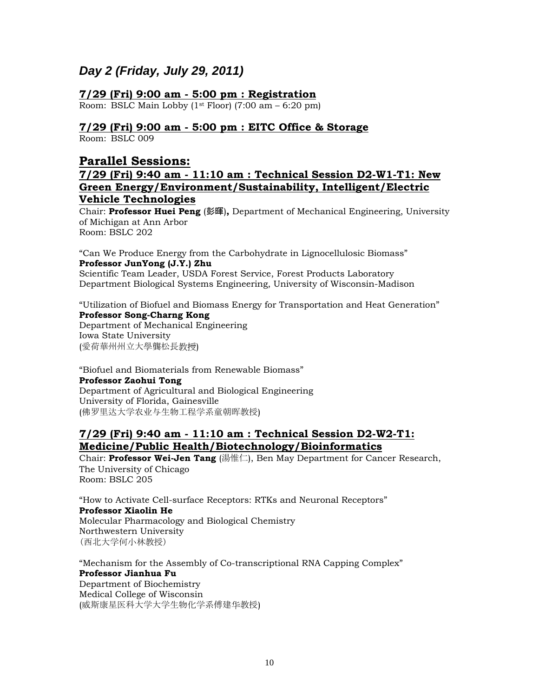# *Day 2 (Friday, July 29, 2011)*

#### **7/29 (Fri) 9:00 am - 5:00 pm : Registration**

Room: BSLC Main Lobby  $(1<sup>st</sup> Floor)$   $(7:00 am - 6:20 pm)$ 

#### **7/29 (Fri) 9:00 am - 5:00 pm : EITC Office & Storage**

Room: BSLC 009

### **Parallel Sessions:**

#### **7/29 (Fri) 9:40 am - 11:10 am : Technical Session D2-W1-T1: New Green Energy/Environment/Sustainability, Intelligent/Electric Vehicle Technologies**

Chair: **Professor Huei Peng** (彭暉)**,** Department of Mechanical Engineering, University of Michigan at Ann Arbor Room: BSLC 202

"Can We Produce Energy from the Carbohydrate in Lignocellulosic Biomass" **Professor JunYong (J.Y.) Zhu** Scientific Team Leader, USDA Forest Service, Forest Products Laboratory

Department Biological Systems Engineering, University of Wisconsin-Madison

"Utilization of Biofuel and Biomass Energy for Transportation and Heat Generation" **Professor Song-Charng Kong** Department of Mechanical Engineering

Iowa State University (愛荷華州州立大學龔松長教授)

"Biofuel and Biomaterials from Renewable Biomass" **Professor Zaohui Tong**  Department of Agricultural and Biological Engineering University of Florida, Gainesville (佛罗里达大学农业与生物工程学系童朝晖教授)

#### **7/29 (Fri) 9:40 am - 11:10 am : Technical Session D2-W2-T1: Medicine/Public Health/Biotechnology/Bioinformatics**

Chair: **Professor Wei-Jen Tang** (湯惟仁), Ben May Department for Cancer Research, The University of Chicago Room: BSLC 205

"How to Activate Cell-surface Receptors: RTKs and Neuronal Receptors" **Professor Xiaolin He**  Molecular Pharmacology and Biological Chemistry Northwestern University (西北大学何小林教授)

"Mechanism for the Assembly of Co-transcriptional RNA Capping Complex" **Professor Jianhua Fu** Department of Biochemistry Medical College of Wisconsin (威斯康星医科大学大学生物化学系傅建华教授)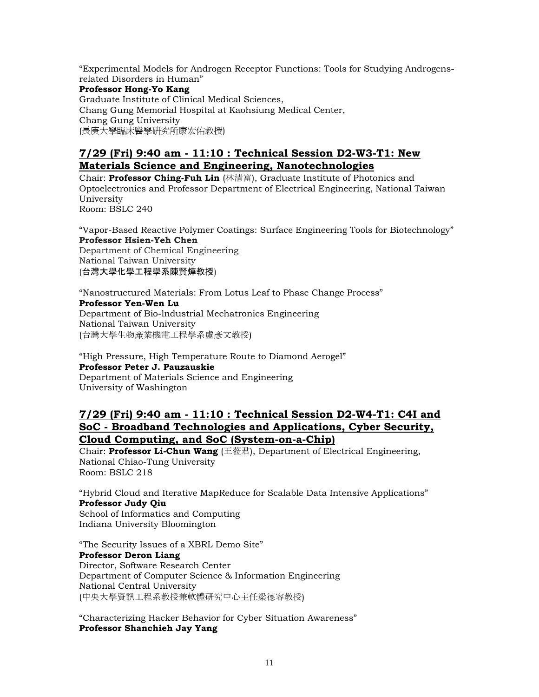"Experimental Models for Androgen Receptor Functions: Tools for Studying Androgensrelated Disorders in Human" **Professor Hong-Yo Kang**  Graduate Institute of Clinical Medical Sciences, Chang Gung Memorial Hospital at Kaohsiung Medical Center, Chang Gung University (長庚大學臨床醫學研究所康宏佑教授)

### **7/29 (Fri) 9:40 am - 11:10 : Technical Session D2-W3-T1: New Materials Science and Engineering, Nanotechnologies**

Chair: **Professor Ching-Fuh Lin** (林清富), Graduate Institute of Photonics and Optoelectronics and Professor Department of Electrical Engineering, National Taiwan University Room: BSLC 240

"Vapor-Based Reactive Polymer Coatings: Surface Engineering Tools for Biotechnology" **Professor Hsien-Yeh Chen**  Department of Chemical Engineering

National Taiwan University (台灣大學化學工程學系陳賢燁教授)

"Nanostructured Materials: From Lotus Leaf to Phase Change Process"

**Professor Yen-Wen Lu**  Department of Bio-lndustrial Mechatronics Engineering National Taiwan University (台灣大學生物產業機電工程學系盧彥文教授)

"High Pressure, High Temperature Route to Diamond Aerogel" **Professor Peter J. Pauzauskie**  Department of Materials Science and Engineering University of Washington

### **7/29 (Fri) 9:40 am - 11:10 : Technical Session D2-W4-T1: C4I and SoC - Broadband Technologies and Applications, Cyber Security, Cloud Computing, and SoC (System-on-a-Chip)**

Chair: **Professor Li-Chun Wang** (王蒞君), Department of Electrical Engineering, National Chiao-Tung University Room: BSLC 218

"Hybrid Cloud and Iterative MapReduce for Scalable Data Intensive Applications" **Professor Judy Qiu**  School of Informatics and Computing

Indiana University Bloomington

"The Security Issues of a XBRL Demo Site" **Professor Deron Liang**  Director, Software Research Center Department of Computer Science & Information Engineering National Central University (中央大學資訊工程系教授兼軟體研究中心主任梁德容教授)

"Characterizing Hacker Behavior for Cyber Situation Awareness" **Professor Shanchieh Jay Yang**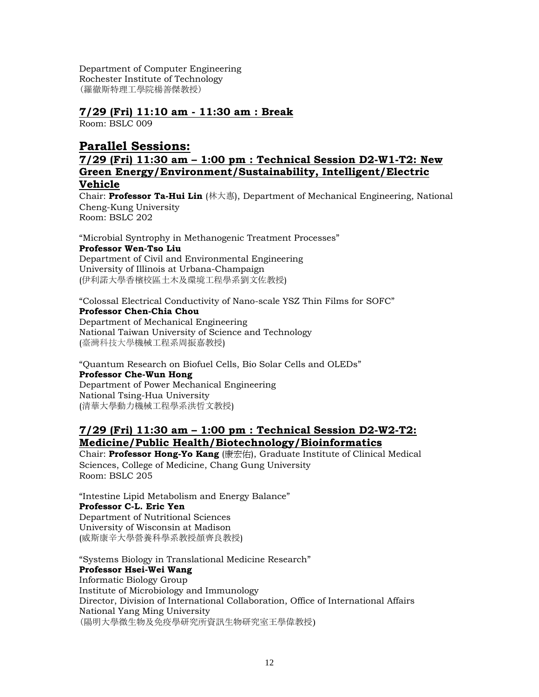Department of Computer Engineering Rochester Institute of Technology (羅徹斯特理工學院楊善傑教授)

#### **7/29 (Fri) 11:10 am - 11:30 am : Break**

Room: BSLC 009

### **Parallel Sessions:**

#### **7/29 (Fri) 11:30 am – 1:00 pm : Technical Session D2-W1-T2: New Green Energy/Environment/Sustainability, Intelligent/Electric Vehicle**

Chair: **Professor Ta-Hui Lin** (林大惠), Department of Mechanical Engineering, National Cheng-Kung University Room: BSLC 202

"Microbial Syntrophy in Methanogenic Treatment Processes" **Professor Wen-Tso Liu**  Department of Civil and Environmental Engineering University of Illinois at Urbana-Champaign (伊利諾大學香檳校區土木及環境工程學系劉文佐教授)

"Colossal Electrical Conductivity of Nano-scale YSZ Thin Films for SOFC" **Professor Chen-Chia Chou**  Department of Mechanical Engineering National Taiwan University of Science and Technology (臺灣科技大學機械工程系周振嘉教授)

"Quantum Research on Biofuel Cells, Bio Solar Cells and OLEDs" **Professor Che-Wun Hong** Department of Power Mechanical Engineering National Tsing-Hua University (清華大學動力機械工程學系洪哲文教授)

### **7/29 (Fri) 11:30 am – 1:00 pm : Technical Session D2-W2-T2: Medicine/Public Health/Biotechnology/Bioinformatics**

Chair: **Professor Hong-Yo Kang** (康宏佑), Graduate Institute of Clinical Medical Sciences, College of Medicine, Chang Gung University Room: BSLC 205

"Intestine Lipid Metabolism and Energy Balance" **Professor C-L. Eric Yen**  Department of Nutritional Sciences University of Wisconsin at Madison (威斯康辛大學營養科學系教授顏齊良教授)

"Systems Biology in Translational Medicine Research" **Professor Hsei-Wei Wang** Informatic Biology Group Institute of Microbiology and Immunology Director, Division of International Collaboration, Office of International Affairs National Yang Ming University (陽明大學微生物及免疫學研究所資訊生物研究室王學偉教授)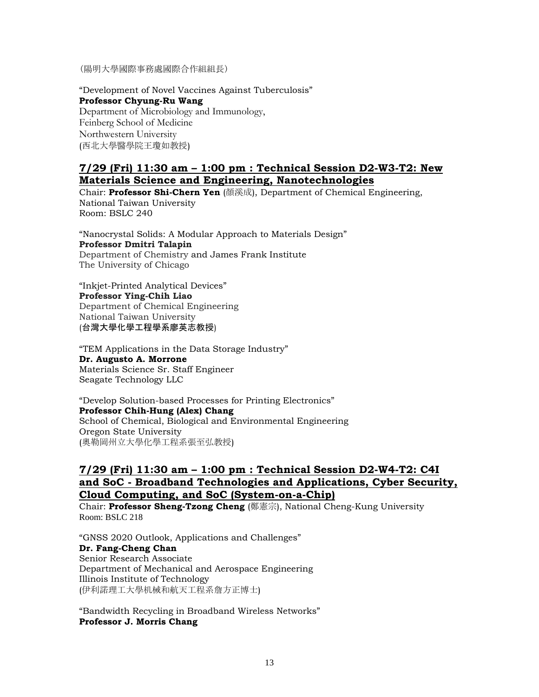(陽明大學國際事務處國際合作組組長)

"Development of Novel Vaccines Against Tuberculosis" **Professor Chyung-Ru Wang** Department of Microbiology and Immunology, Feinberg School of Medicine Northwestern University (西北大學醫學院王瓊如教授)

#### **7/29 (Fri) 11:30 am – 1:00 pm : Technical Session D2-W3-T2: New Materials Science and Engineering, Nanotechnologies**

Chair: **Professor Shi-Chern Yen** (顏溪成), Department of Chemical Engineering, National Taiwan University Room: BSLC 240

"Nanocrystal Solids: A Modular Approach to Materials Design" **Professor Dmitri Talapin**  Department of Chemistry and James Frank Institute The University of Chicago

"Inkjet-Printed Analytical Devices" **Professor Ying-Chih Liao**  Department of Chemical Engineering National Taiwan University (台灣大學化學工程學系廖英志教授)

"TEM Applications in the Data Storage Industry" **Dr. Augusto A. Morrone**  Materials Science Sr. Staff Engineer Seagate Technology LLC

"Develop Solution-based Processes for Printing Electronics" **Professor Chih-Hung (Alex) Chang**  School of Chemical, Biological and Environmental Engineering Oregon State University (奧勒岡州立大學化學工程系張至弘教授)

### **7/29 (Fri) 11:30 am – 1:00 pm : Technical Session D2-W4-T2: C4I and SoC - Broadband Technologies and Applications, Cyber Security, Cloud Computing, and SoC (System-on-a-Chip)**

Chair: **Professor Sheng-Tzong Cheng** (鄭憲宗), National Cheng-Kung University Room: BSLC 218

"GNSS 2020 Outlook, Applications and Challenges" **Dr. Fang-Cheng Chan**  Senior Research Associate Department of Mechanical and Aerospace Engineering Illinois Institute of Technology (伊利諾理工大學机械和航天工程系詹方正博士)

"Bandwidth Recycling in Broadband Wireless Networks" **Professor J. Morris Chang**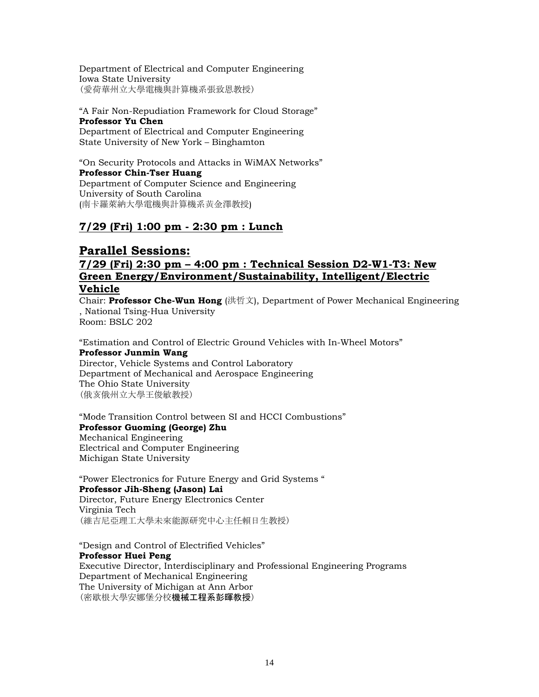Department of Electrical and Computer Engineering Iowa State University (愛荷華州立大學電機與計算機系張致恩教授)

#### "A Fair Non-Repudiation Framework for Cloud Storage" **Professor Yu Chen** Department of Electrical and Computer Engineering State University of New York – Binghamton

"On Security Protocols and Attacks in WiMAX Networks" **Professor Chin-Tser Huang**  Department of Computer Science and Engineering University of South Carolina (南卡羅萊納大學電機與計算機系黃金澤教授)

### **7/29 (Fri) 1:00 pm - 2:30 pm : Lunch**

### **Parallel Sessions:**

### **7/29 (Fri) 2:30 pm – 4:00 pm : Technical Session D2-W1-T3: New Green Energy/Environment/Sustainability, Intelligent/Electric Vehicle**

Chair: **Professor Che-Wun Hong** (洪哲文), Department of Power Mechanical Engineering , National Tsing-Hua University Room: BSLC 202

"Estimation and Control of Electric Ground Vehicles with In-Wheel Motors" **Professor Junmin Wang** 

Director, Vehicle Systems and Control Laboratory Department of Mechanical and Aerospace Engineering The Ohio State University (俄亥俄州立大學王俊敏教授)

"Mode Transition Control between SI and HCCI Combustions" **Professor Guoming (George) Zhu** Mechanical Engineering

Electrical and Computer Engineering Michigan State University

"Power Electronics for Future Energy and Grid Systems " **Professor Jih-Sheng (Jason) Lai**  Director, Future Energy Electronics Center Virginia Tech (維吉尼亞理工大學未來能源研究中心主任賴日生教授)

"Design and Control of Electrified Vehicles" **Professor Huei Peng**  Executive Director, Interdisciplinary and Professional Engineering Programs Department of Mechanical Engineering The University of Michigan at Ann Arbor (密歇根大學安娜堡分校機械工程系彭暉教授)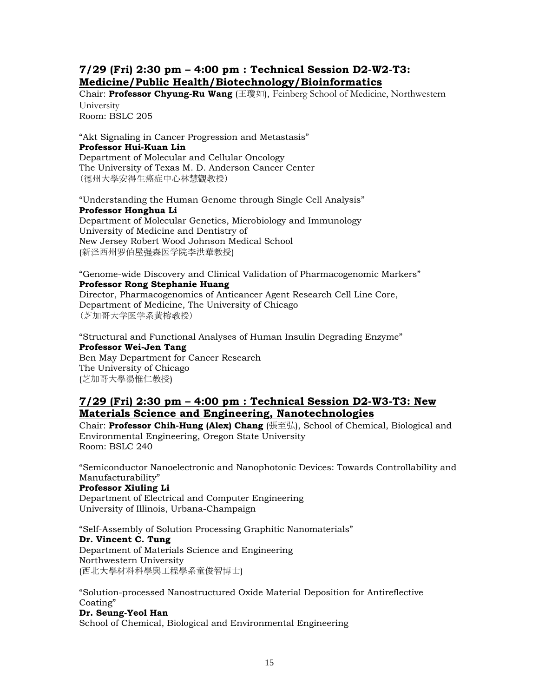#### **7/29 (Fri) 2:30 pm – 4:00 pm : Technical Session D2-W2-T3: Medicine/Public Health/Biotechnology/Bioinformatics**

Chair: **Professor Chyung-Ru Wang** (王瓊如), Feinberg School of Medicine, Northwestern University

Room: BSLC 205

"Akt Signaling in Cancer Progression and Metastasis" **Professor Hui-Kuan Lin**  Department of Molecular and Cellular Oncology The University of Texas M. D. Anderson Cancer Center (德州大學安得生癌症中心林慧觀教授)

"Understanding the Human Genome through Single Cell Analysis" **Professor Honghua Li**  Department of Molecular Genetics, Microbiology and Immunology

University of Medicine and Dentistry of New Jersey Robert Wood Johnson Medical School (新泽西州罗伯屋强森医学院李洪華教授)

"Genome-wide Discovery and Clinical Validation of Pharmacogenomic Markers" **Professor Rong Stephanie Huang**  Director, Pharmacogenomics of Anticancer Agent Research Cell Line Core, Department of Medicine, The University of Chicago (芝加哥大学医学系黄榕教授)

"Structural and Functional Analyses of Human Insulin Degrading Enzyme" **Professor Wei-Jen Tang**  Ben May Department for Cancer Research The University of Chicago (芝加哥大學湯惟仁教授)

### **7/29 (Fri) 2:30 pm – 4:00 pm : Technical Session D2-W3-T3: New Materials Science and Engineering, Nanotechnologies**

Chair: **Professor Chih-Hung (Alex) Chang** (張至弘), School of Chemical, Biological and Environmental Engineering, Oregon State University Room: BSLC 240

"Semiconductor Nanoelectronic and Nanophotonic Devices: Towards Controllability and Manufacturability" **Professor Xiuling Li**  Department of Electrical and Computer Engineering University of Illinois, Urbana-Champaign

"Self-Assembly of Solution Processing Graphitic Nanomaterials" **Dr. Vincent C. Tung**  Department of Materials Science and Engineering Northwestern University (西北大學材料科學與工程學系童俊智博士)

"Solution-processed Nanostructured Oxide Material Deposition for Antireflective Coating" **Dr. Seung-Yeol Han** 

School of Chemical, Biological and Environmental Engineering